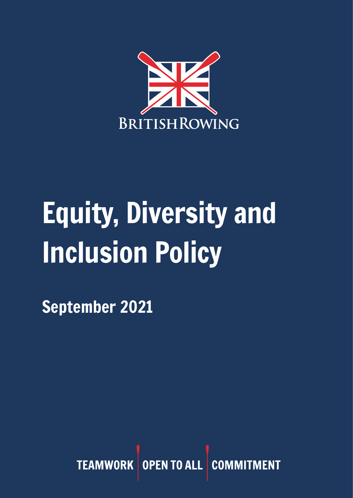

# Equity, Diversity and Inclusion Policy

September 2021

TEAMWORK OPEN TO ALL COMM **MENT**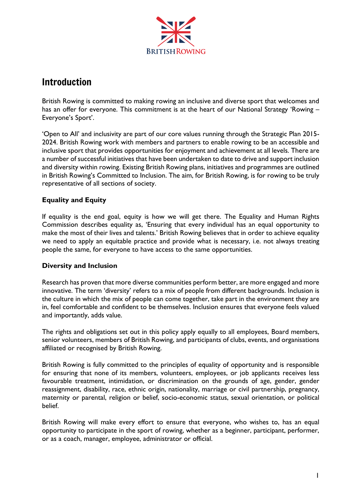

# Introduction

British Rowing is committed to making rowing an inclusive and diverse sport that welcomes and has an offer for everyone. This commitment is at the heart of our National Strategy 'Rowing – Everyone's Sport'.

'Open to All' and inclusivity are part of our core values running through the Strategic Plan 2015- 2024. British Rowing work with members and partners to enable rowing to be an accessible and inclusive sport that provides opportunities for enjoyment and achievement at all levels. There are a number of successful initiatives that have been undertaken to date to drive and support inclusion and diversity within rowing. Existing British Rowing plans, initiatives and programmes are outlined in British Rowing's Committed to Inclusion. The aim, for British Rowing, is for rowing to be truly representative of all sections of society.

#### **Equality and Equity**

If equality is the end goal, equity is how we will get there. The Equality and Human Rights Commission describes equality as, 'Ensuring that every individual has an equal opportunity to make the most of their lives and talents.' British Rowing believes that in order to achieve equality we need to apply an equitable practice and provide what is necessary, i.e. not always treating people the same, for everyone to have access to the same opportunities.

#### **Diversity and Inclusion**

Research has proven that more diverse communities perform better, are more engaged and more innovative. The term 'diversity' refers to a mix of people from different backgrounds. Inclusion is the culture in which the mix of people can come together, take part in the environment they are in, feel comfortable and confident to be themselves. Inclusion ensures that everyone feels valued and importantly, adds value.

The rights and obligations set out in this policy apply equally to all employees, Board members, senior volunteers, members of British Rowing, and participants of clubs, events, and organisations affiliated or recognised by British Rowing.

British Rowing is fully committed to the principles of equality of opportunity and is responsible for ensuring that none of its members, volunteers, employees, or job applicants receives less favourable treatment, intimidation, or discrimination on the grounds of age, gender, gender reassignment, disability, race, ethnic origin, nationality, marriage or civil partnership, pregnancy, maternity or parental, religion or belief, socio-economic status, sexual orientation, or political belief.

British Rowing will make every effort to ensure that everyone, who wishes to, has an equal opportunity to participate in the sport of rowing, whether as a beginner, participant, performer, or as a coach, manager, employee, administrator or official.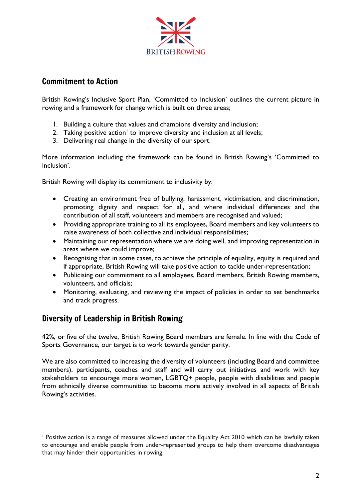

# Commitment to Action

British Rowing's Inclusive Sport Plan, 'Committed to Inclusion' outlines the current picture in rowing and a framework for change which is built on three areas;

- 1. Building a culture that values and champions diversity and inclusion;
- 2. Taking positive action<sup>1</sup> to improve diversity and inclusion at all levels;
- 3. Delivering real change in the diversity of our sport.

More information including the framework can be found in British Rowing's 'Committed to Inclusion'.

British Rowing will display its commitment to inclusivity by:

- Creating an environment free of bullying, harassment, victimisation, and discrimination, promoting dignity and respect for all, and where individual differences and the contribution of all staff, volunteers and members are recognised and valued;
- Providing appropriate training to all its employees, Board members and key volunteers to raise awareness of both collective and individual responsibilities;
- Maintaining our representation where we are doing well, and improving representation in areas where we could improve;
- Recognising that in some cases, to achieve the principle of equality, equity is required and if appropriate, British Rowing will take positive action to tackle under-representation;
- Publicising our commitment to all employees, Board members, British Rowing members, volunteers, and officials;
- Monitoring, evaluating, and reviewing the impact of policies in order to set benchmarks and track progress.

# Diversity of Leadership in British Rowing

42%, or five of the twelve, British Rowing Board members are female. In line with the Code of Sports Governance, our target is to work towards gender parity.

We are also committed to increasing the diversity of volunteers (including Board and committee members), participants, coaches and staff and will carry out initiatives and work with key stakeholders to encourage more women, LGBTQ+ people, people with disabilities and people from ethnically diverse communities to become more actively involved in all aspects of British Rowing's activities.

<sup>1</sup> Positive action is a range of measures allowed under the Equality Act 2010 which can be lawfully taken to encourage and enable people from under-represented groups to help them overcome disadvantages that may hinder their opportunities in rowing.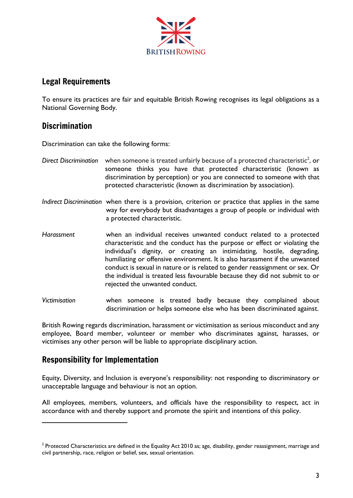

#### Legal Requirements

To ensure its practices are fair and equitable British Rowing recognises its legal obligations as a National Governing Body.

# **Discrimination**

Discrimination can take the following forms:

- Direct Discrimination when someone is treated unfairly because of a protected characteristic<sup>2</sup>, or someone thinks you have that protected characteristic (known as discrimination by perception) or you are connected to someone with that protected characteristic (known as discrimination by association).
- *Indirect Discrimination* when there is a provision, criterion or practice that applies in the same way for everybody but disadvantages a group of people or individual with a protected characteristic.
- *Harassment* when an individual receives unwanted conduct related to a protected characteristic and the conduct has the purpose or effect or violating the individual's dignity, or creating an intimidating, hostile, degrading, humiliating or offensive environment. It is also harassment if the unwanted conduct is sexual in nature or is related to gender reassignment or sex. Or the individual is treated less favourable because they did not submit to or rejected the unwanted conduct.
- *Victimisation* when someone is treated badly because they complained about discrimination or helps someone else who has been discriminated against.

British Rowing regards discrimination, harassment or victimisation as serious misconduct and any employee, Board member, volunteer or member who discriminates against, harasses, or victimises any other person will be liable to appropriate disciplinary action.

# Responsibility for Implementation

Equity, Diversity, and Inclusion is everyone's responsibility: not responding to discriminatory or unacceptable language and behaviour is not an option.

All employees, members, volunteers, and officials have the responsibility to respect, act in accordance with and thereby support and promote the spirit and intentions of this policy.

 $^{\rm 2}$  Protected Characteristics are defined in the Equality Act 2010 as; age, disability, gender reassignment, marriage and civil partnership, race, religion or belief, sex, sexual orientation.